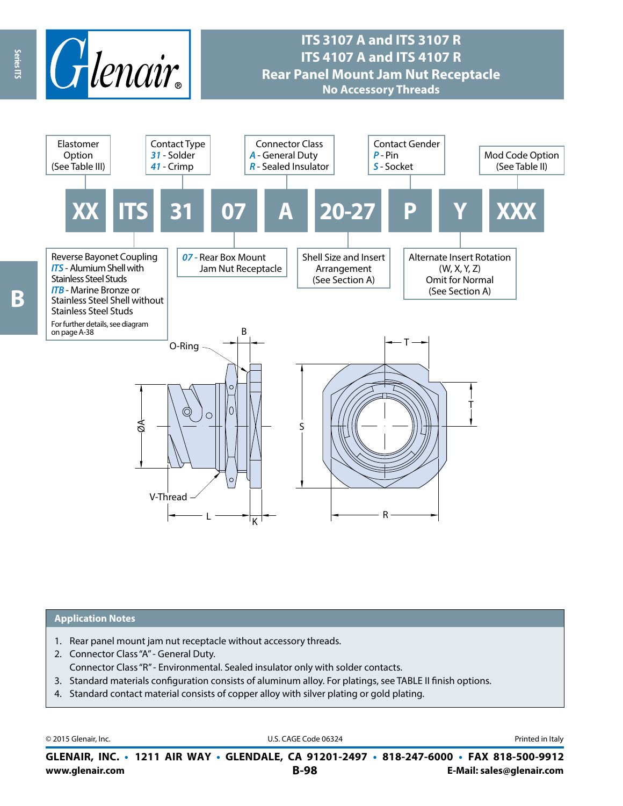

## **ITS 3107 A and ITS 3107 R ITS 4107 A and ITS 4107 R Rear Panel Mount Jam Nut Receptacle No Accessory Threads**



#### **Application Notes**

- 1. Rear panel mount jam nut receptacle without accessory threads.
- 2. Connector Class "A" General Duty. Connector Class "R" - Environmental. Sealed insulator only with solder contacts.
- 3. Standard materials configuration consists of aluminum alloy. For platings, see TABLE II finish options.
- 4. Standard contact material consists of copper alloy with silver plating or gold plating.

© 2015 Glenair, Inc. **Discription Construction Construction Construction Construction Construction Construction Construction Construction Construction Construction Construction Construction Construction Construction Constr** 

**www.glenair.com B-98 E-Mail: sales@glenair.com GLENAIR, INC. • 1211 AIR WAY • GLENDALE, CA 91201-2497 • 818-247-6000 • FAX 818-500-9912**

Series ITS